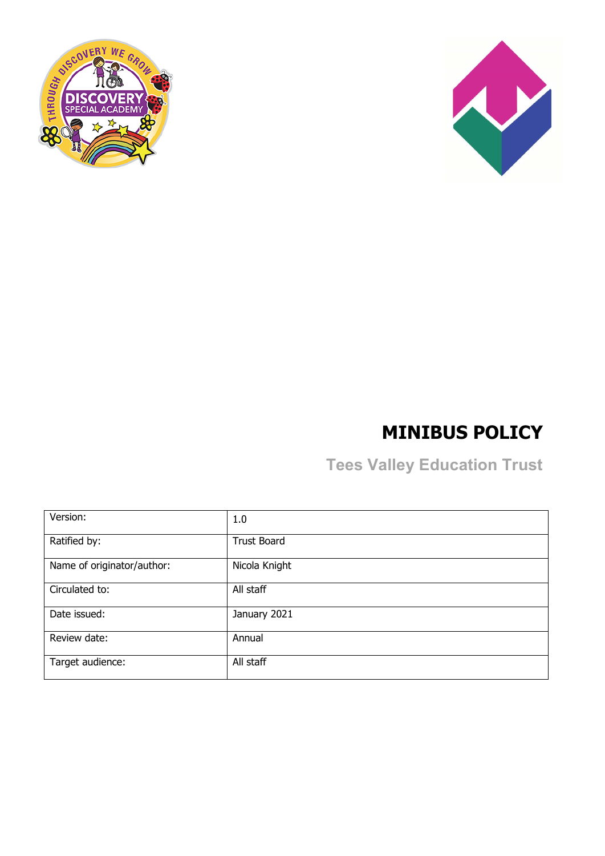



# **MINIBUS POLICY**

**Tees Valley Education Trust**

| Version:                   | 1.0                |
|----------------------------|--------------------|
| Ratified by:               | <b>Trust Board</b> |
| Name of originator/author: | Nicola Knight      |
| Circulated to:             | All staff          |
| Date issued:               | January 2021       |
| Review date:               | Annual             |
| Target audience:           | All staff          |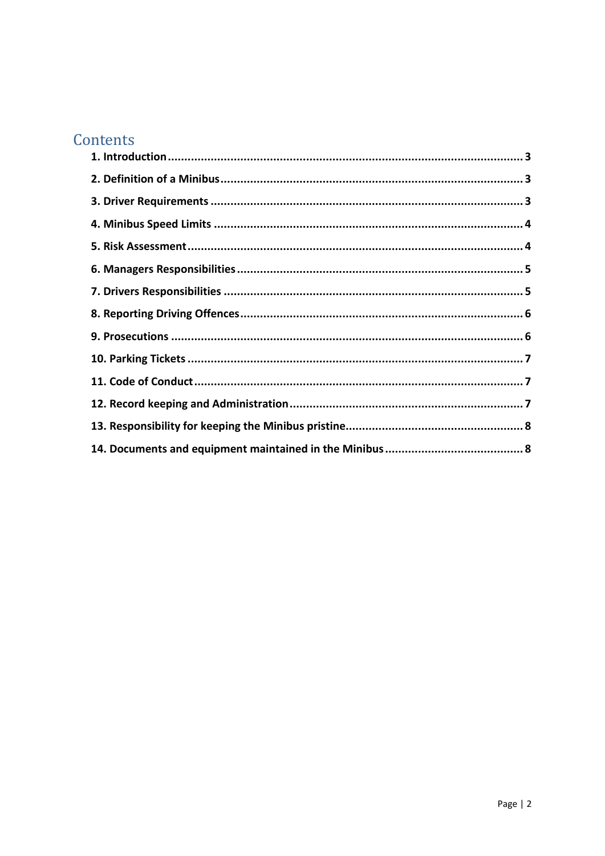## Contents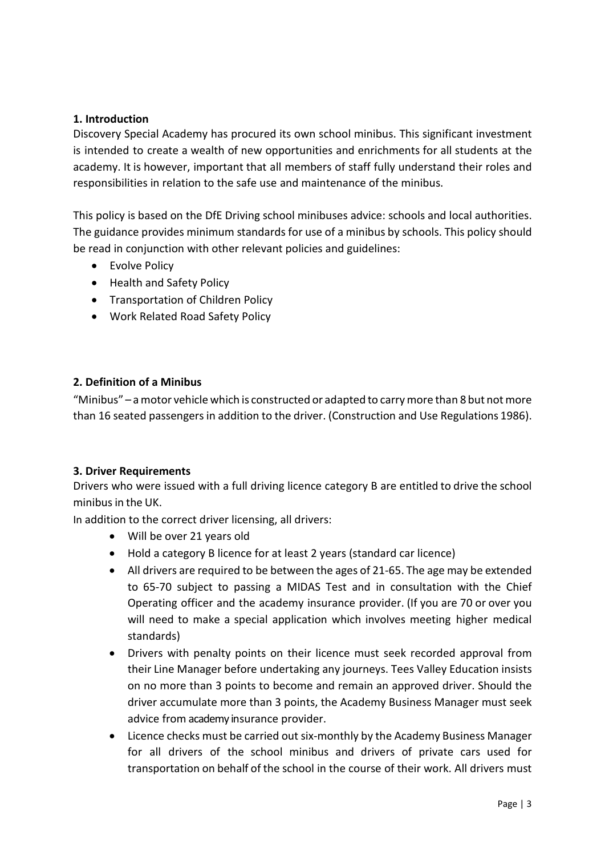### <span id="page-2-0"></span>**1. Introduction**

Discovery Special Academy has procured its own school minibus. This significant investment is intended to create a wealth of new opportunities and enrichments for all students at the academy. It is however, important that all members of staff fully understand their roles and responsibilities in relation to the safe use and maintenance of the minibus.

This policy is based on the DfE Driving school minibuses advice: schools and local authorities. The guidance provides minimum standards for use of a minibus by schools. This policy should be read in conjunction with other relevant policies and guidelines:

- Evolve Policy
- Health and Safety Policy
- Transportation of Children Policy
- Work Related Road Safety Policy

### <span id="page-2-1"></span>**2. Definition of a Minibus**

"Minibus" – a motor vehicle which is constructed or adapted to carry more than 8 but not more than 16 seated passengers in addition to the driver. (Construction and Use Regulations 1986).

#### <span id="page-2-2"></span>**3. Driver Requirements**

Drivers who were issued with a full driving licence category B are entitled to drive the school minibusin the UK.

In addition to the correct driver licensing, all drivers:

- Will be over 21 years old
- Hold a category B licence for at least 2 years (standard car licence)
- All drivers are required to be between the ages of 21-65. The age may be extended to 65-70 subject to passing a MIDAS Test and in consultation with the Chief Operating officer and the academy insurance provider. (If you are 70 or over you will need to make a special application which involves meeting higher medical standards)
- Drivers with penalty points on their licence must seek recorded approval from their Line Manager before undertaking any journeys. Tees Valley Education insists on no more than 3 points to become and remain an approved driver. Should the driver accumulate more than 3 points, the Academy Business Manager must seek advice from academy insurance provider.
- Licence checks must be carried out six-monthly by the Academy Business Manager for all drivers of the school minibus and drivers of private cars used for transportation on behalf of the school in the course of their work. All drivers must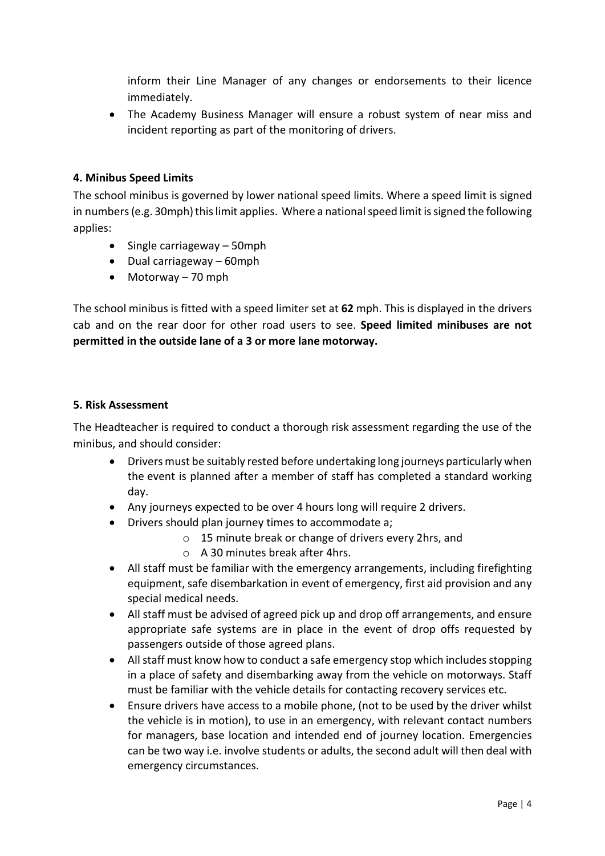inform their Line Manager of any changes or endorsements to their licence immediately.

• The Academy Business Manager will ensure a robust system of near miss and incident reporting as part of the monitoring of drivers.

### <span id="page-3-0"></span>**4. Minibus Speed Limits**

The school minibus is governed by lower national speed limits. Where a speed limit is signed in numbers (e.g. 30mph) this limit applies. Where a national speed limit is signed the following applies:

- Single carriageway 50mph
- Dual carriageway 60mph
- Motorway 70 mph

The school minibus is fitted with a speed limiter set at **62** mph. This is displayed in the drivers cab and on the rear door for other road users to see. **Speed limited minibuses are not permitted in the outside lane of a 3 or more lane motorway.**

#### <span id="page-3-1"></span>**5. Risk Assessment**

The Headteacher is required to conduct a thorough risk assessment regarding the use of the minibus, and should consider:

- Drivers must be suitably rested before undertaking long journeys particularly when the event is planned after a member of staff has completed a standard working day.
- Any journeys expected to be over 4 hours long will require 2 drivers.
- Drivers should plan journey times to accommodate a;
	- o 15 minute break or change of drivers every 2hrs, and
	- o A 30 minutes break after 4hrs.
- All staff must be familiar with the emergency arrangements, including firefighting equipment, safe disembarkation in event of emergency, first aid provision and any special medical needs.
- All staff must be advised of agreed pick up and drop off arrangements, and ensure appropriate safe systems are in place in the event of drop offs requested by passengers outside of those agreed plans.
- All staff must know how to conduct a safe emergency stop which includes stopping in a place of safety and disembarking away from the vehicle on motorways. Staff must be familiar with the vehicle details for contacting recovery services etc.
- Ensure drivers have access to a mobile phone, (not to be used by the driver whilst the vehicle is in motion), to use in an emergency, with relevant contact numbers for managers, base location and intended end of journey location. Emergencies can be two way i.e. involve students or adults, the second adult will then deal with emergency circumstances.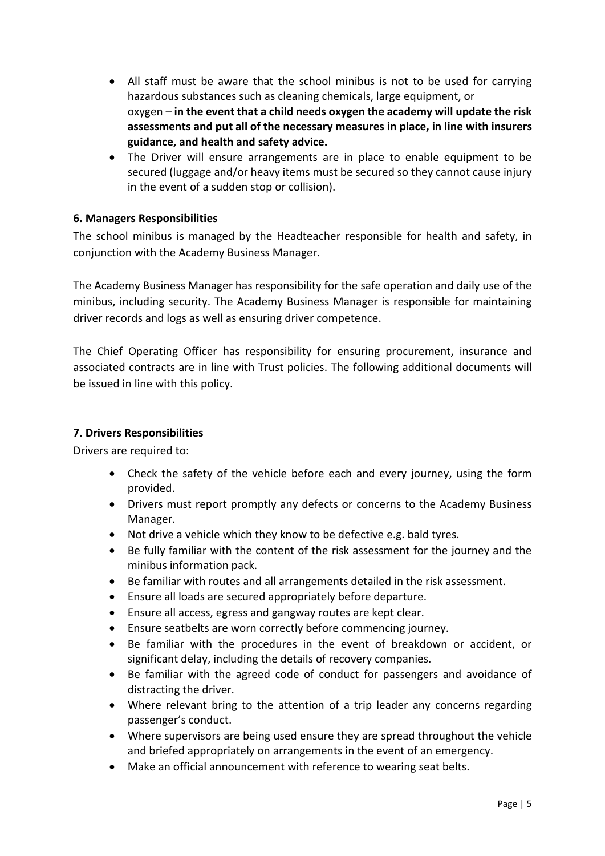- All staff must be aware that the school minibus is not to be used for carrying hazardous substances such as cleaning chemicals, large equipment, or oxygen – **in the event that a child needs oxygen the academy will update the risk assessments and put all of the necessary measures in place, in line with insurers guidance, and health and safety advice.**
- The Driver will ensure arrangements are in place to enable equipment to be secured (luggage and/or heavy items must be secured so they cannot cause injury in the event of a sudden stop or collision).

### <span id="page-4-0"></span>**6. Managers Responsibilities**

The school minibus is managed by the Headteacher responsible for health and safety, in conjunction with the Academy Business Manager.

The Academy Business Manager has responsibility for the safe operation and daily use of the minibus, including security. The Academy Business Manager is responsible for maintaining driver records and logs as well as ensuring driver competence.

The Chief Operating Officer has responsibility for ensuring procurement, insurance and associated contracts are in line with Trust policies. The following additional documents will be issued in line with this policy.

### <span id="page-4-1"></span>**7. Drivers Responsibilities**

Drivers are required to:

- Check the safety of the vehicle before each and every journey, using the form provided.
- Drivers must report promptly any defects or concerns to the Academy Business Manager.
- Not drive a vehicle which they know to be defective e.g. bald tyres.
- Be fully familiar with the content of the risk assessment for the journey and the minibus information pack.
- Be familiar with routes and all arrangements detailed in the risk assessment.
- Ensure all loads are secured appropriately before departure.
- Ensure all access, egress and gangway routes are kept clear.
- Ensure seatbelts are worn correctly before commencing journey.
- Be familiar with the procedures in the event of breakdown or accident, or significant delay, including the details of recovery companies.
- Be familiar with the agreed code of conduct for passengers and avoidance of distracting the driver.
- Where relevant bring to the attention of a trip leader any concerns regarding passenger's conduct.
- Where supervisors are being used ensure they are spread throughout the vehicle and briefed appropriately on arrangements in the event of an emergency.
- Make an official announcement with reference to wearing seat belts.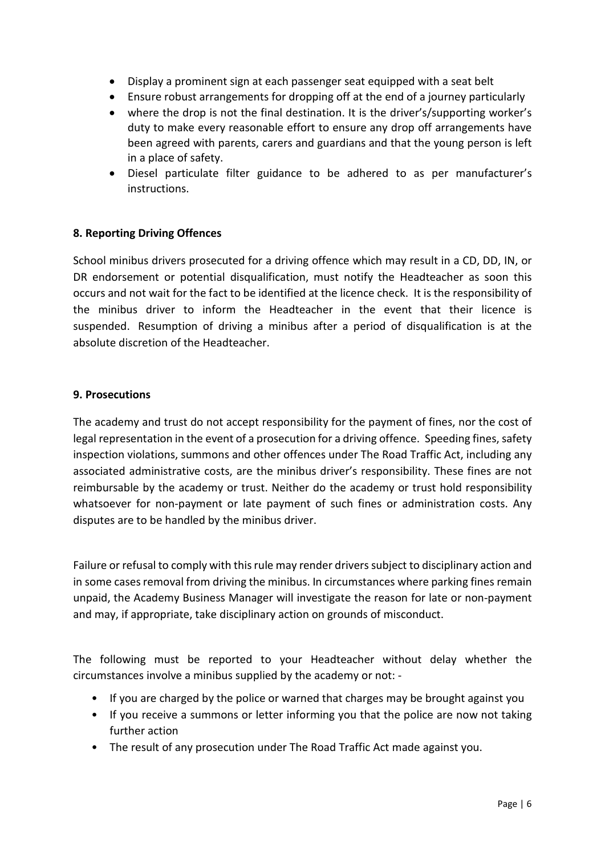- Display a prominent sign at each passenger seat equipped with a seat belt
- Ensure robust arrangements for dropping off at the end of a journey particularly
- where the drop is not the final destination. It is the driver's/supporting worker's duty to make every reasonable effort to ensure any drop off arrangements have been agreed with parents, carers and guardians and that the young person is left in a place of safety.
- Diesel particulate filter guidance to be adhered to as per manufacturer's instructions.

### <span id="page-5-0"></span>**8. Reporting Driving Offences**

School minibus drivers prosecuted for a driving offence which may result in a CD, DD, IN, or DR endorsement or potential disqualification, must notify the Headteacher as soon this occurs and not wait for the fact to be identified at the licence check. It is the responsibility of the minibus driver to inform the Headteacher in the event that their licence is suspended. Resumption of driving a minibus after a period of disqualification is at the absolute discretion of the Headteacher.

#### <span id="page-5-1"></span>**9. Prosecutions**

The academy and trust do not accept responsibility for the payment of fines, nor the cost of legal representation in the event of a prosecution for a driving offence. Speeding fines, safety inspection violations, summons and other offences under The Road Traffic Act, including any associated administrative costs, are the minibus driver's responsibility. These fines are not reimbursable by the academy or trust. Neither do the academy or trust hold responsibility whatsoever for non-payment or late payment of such fines or administration costs. Any disputes are to be handled by the minibus driver.

Failure or refusal to comply with this rule may render drivers subject to disciplinary action and in some cases removal from driving the minibus. In circumstances where parking fines remain unpaid, the Academy Business Manager will investigate the reason for late or non-payment and may, if appropriate, take disciplinary action on grounds of misconduct.

The following must be reported to your Headteacher without delay whether the circumstances involve a minibus supplied by the academy or not: -

- If you are charged by the police or warned that charges may be brought against you
- If you receive a summons or letter informing you that the police are now not taking further action
- The result of any prosecution under The Road Traffic Act made against you.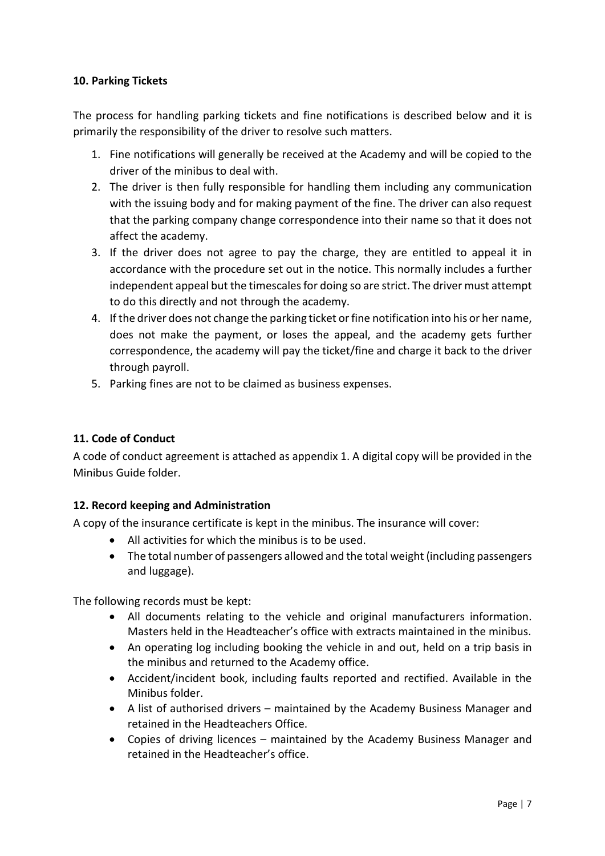### <span id="page-6-0"></span>**10. Parking Tickets**

The process for handling parking tickets and fine notifications is described below and it is primarily the responsibility of the driver to resolve such matters.

- 1. Fine notifications will generally be received at the Academy and will be copied to the driver of the minibus to deal with.
- 2. The driver is then fully responsible for handling them including any communication with the issuing body and for making payment of the fine. The driver can also request that the parking company change correspondence into their name so that it does not affect the academy.
- 3. If the driver does not agree to pay the charge, they are entitled to appeal it in accordance with the procedure set out in the notice. This normally includes a further independent appeal but the timescales for doing so are strict. The driver must attempt to do this directly and not through the academy.
- 4. If the driver does not change the parking ticket or fine notification into his or her name, does not make the payment, or loses the appeal, and the academy gets further correspondence, the academy will pay the ticket/fine and charge it back to the driver through payroll.
- 5. Parking fines are not to be claimed as business expenses.

### <span id="page-6-1"></span>**11. Code of Conduct**

A code of conduct agreement is attached as appendix 1. A digital copy will be provided in the Minibus Guide folder.

### <span id="page-6-2"></span>**12. Record keeping and Administration**

A copy of the insurance certificate is kept in the minibus. The insurance will cover:

- All activities for which the minibus is to be used.
- The total number of passengers allowed and the total weight (including passengers and luggage).

The following records must be kept:

- All documents relating to the vehicle and original manufacturers information. Masters held in the Headteacher's office with extracts maintained in the minibus.
- An operating log including booking the vehicle in and out, held on a trip basis in the minibus and returned to the Academy office.
- Accident/incident book, including faults reported and rectified. Available in the Minibus folder.
- A list of authorised drivers maintained by the Academy Business Manager and retained in the Headteachers Office.
- Copies of driving licences maintained by the Academy Business Manager and retained in the Headteacher's office.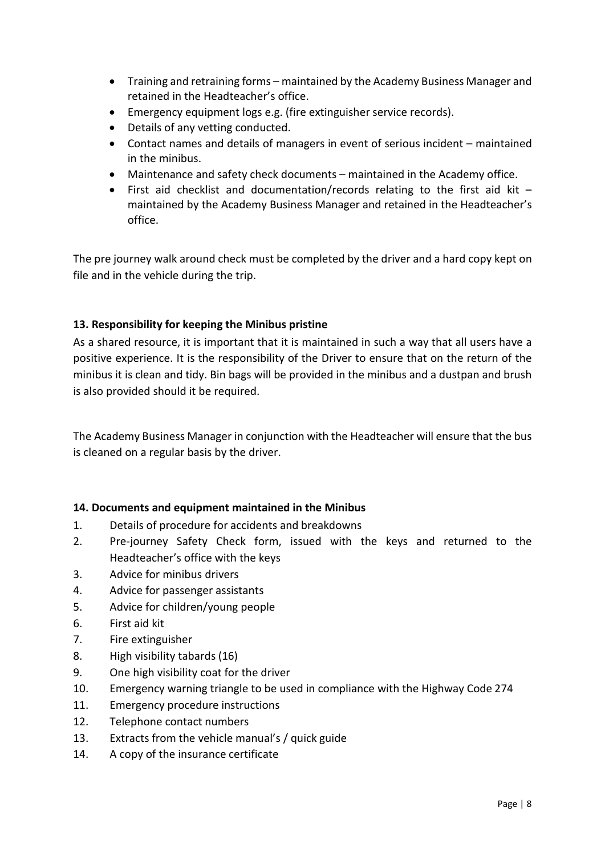- Training and retraining forms maintained by the Academy Business Manager and retained in the Headteacher's office.
- Emergency equipment logs e.g. (fire extinguisher service records).
- Details of any vetting conducted.
- Contact names and details of managers in event of serious incident maintained in the minibus.
- Maintenance and safety check documents maintained in the Academy office.
- First aid checklist and documentation/records relating to the first aid kit maintained by the Academy Business Manager and retained in the Headteacher's office.

The pre journey walk around check must be completed by the driver and a hard copy kept on file and in the vehicle during the trip.

### <span id="page-7-0"></span>**13. Responsibility for keeping the Minibus pristine**

As a shared resource, it is important that it is maintained in such a way that all users have a positive experience. It is the responsibility of the Driver to ensure that on the return of the minibus it is clean and tidy. Bin bags will be provided in the minibus and a dustpan and brush is also provided should it be required.

The Academy Business Manager in conjunction with the Headteacher will ensure that the bus is cleaned on a regular basis by the driver.

### <span id="page-7-1"></span>**14. Documents and equipment maintained in the Minibus**

- 1. Details of procedure for accidents and breakdowns
- 2. Pre-journey Safety Check form, issued with the keys and returned to the Headteacher's office with the keys
- 3. Advice for minibus drivers
- 4. Advice for passenger assistants
- 5. Advice for children/young people
- 6. First aid kit
- 7. Fire extinguisher
- 8. High visibility tabards (16)
- 9. One high visibility coat for the driver
- 10. Emergency warning triangle to be used in compliance with the Highway Code 274
- 11. Emergency procedure instructions
- 12. Telephone contact numbers
- 13. Extracts from the vehicle manual's / quick guide
- 14. A copy of the insurance certificate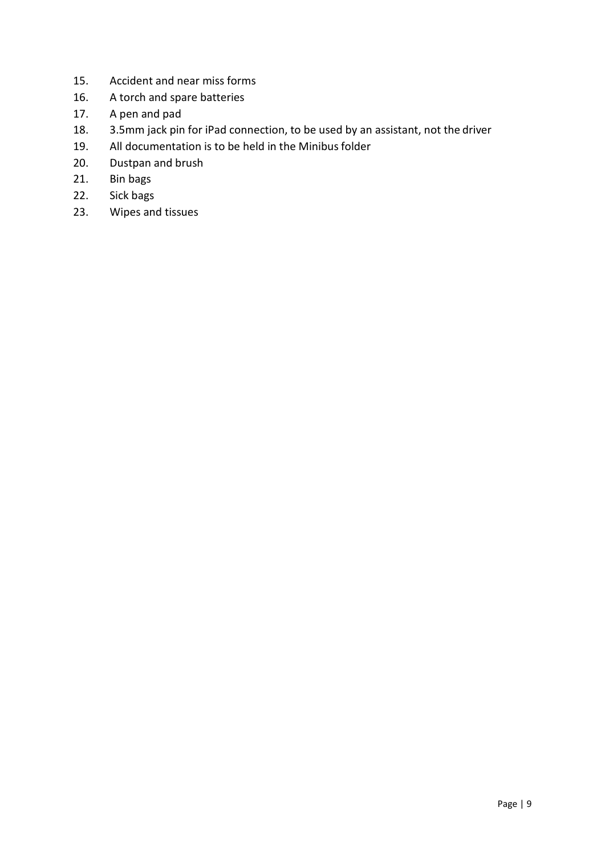- 15. Accident and near miss forms
- 16. A torch and spare batteries
- 17. A pen and pad
- 18. 3.5mm jack pin for iPad connection, to be used by an assistant, not the driver
- 19. All documentation is to be held in the Minibus folder
- 20. Dustpan and brush
- 21. Bin bags
- 22. Sick bags
- 23. Wipes and tissues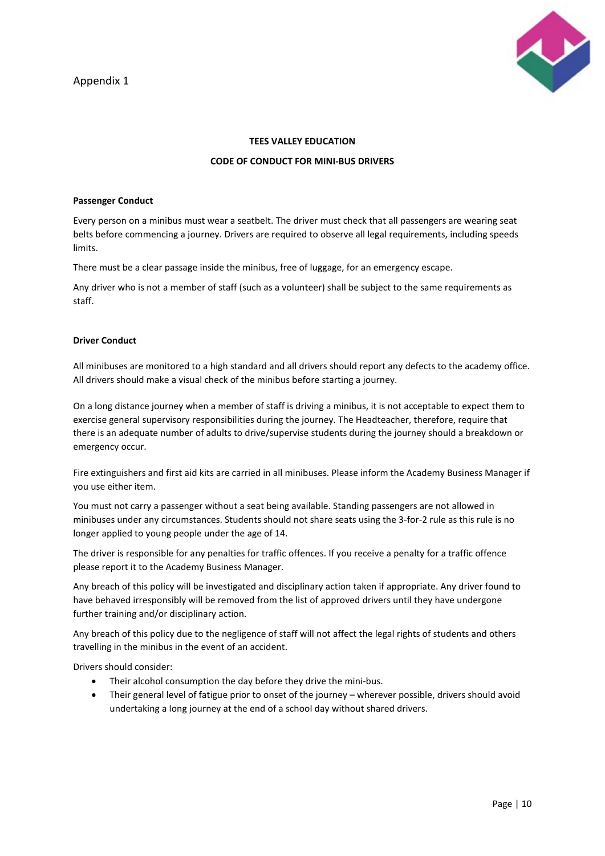Appendix 1



#### **TEES VALLEY EDUCATION**

#### **CODE OF CONDUCT FOR MINI-BUS DRIVERS**

#### **Passenger Conduct**

Every person on a minibus must wear a seatbelt. The driver must check that all passengers are wearing seat belts before commencing a journey. Drivers are required to observe all legal requirements, including speeds limits.

There must be a clear passage inside the minibus, free of luggage, for an emergency escape.

Any driver who is not a member of staff (such as a volunteer) shall be subject to the same requirements as staff.

#### **Driver Conduct**

All minibuses are monitored to a high standard and all drivers should report any defects to the academy office. All drivers should make a visual check of the minibus before starting a journey.

On a long distance journey when a member of staff is driving a minibus, it is not acceptable to expect them to exercise general supervisory responsibilities during the journey. The Headteacher, therefore, require that there is an adequate number of adults to drive/supervise students during the journey should a breakdown or emergency occur.

Fire extinguishers and first aid kits are carried in all minibuses. Please inform the Academy Business Manager if you use either item.

You must not carry a passenger without a seat being available. Standing passengers are not allowed in minibuses under any circumstances. Students should not share seats using the 3-for-2 rule as this rule is no longer applied to young people under the age of 14.

The driver is responsible for any penalties for traffic offences. If you receive a penalty for a traffic offence please report it to the Academy Business Manager.

Any breach of this policy will be investigated and disciplinary action taken if appropriate. Any driver found to have behaved irresponsibly will be removed from the list of approved drivers until they have undergone further training and/or disciplinary action.

Any breach of this policy due to the negligence of staff will not affect the legal rights of students and others travelling in the minibus in the event of an accident.

Drivers should consider:

- Their alcohol consumption the day before they drive the mini-bus.
- Their general level of fatigue prior to onset of the journey wherever possible, drivers should avoid undertaking a long journey at the end of a school day without shared drivers.